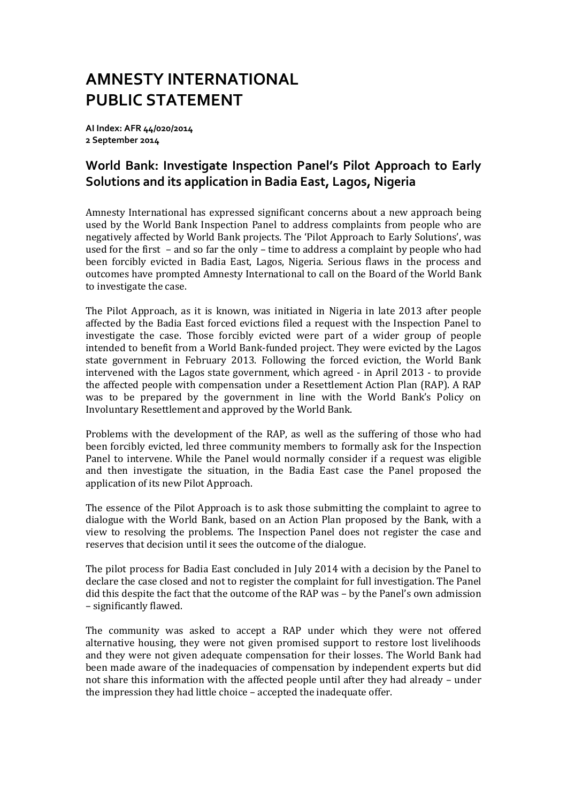## **AMNESTY INTERNATIONAL PUBLIC STATEMENT**

**AI Index: AFR 44/020/2014 2 September 2014**

## **World Bank: Investigate Inspection Panel's Pilot Approach to Early Solutions and its application in Badia East, Lagos, Nigeria**

Amnesty International has expressed significant concerns about a new approach being used by the World Bank Inspection Panel to address complaints from people who are negatively affected by World Bank projects. The 'Pilot Approach to Early Solutions', was used for the first – and so far the only – time to address a complaint by people who had been forcibly evicted in Badia East, Lagos, Nigeria. Serious flaws in the process and outcomes have prompted Amnesty International to call on the Board of the World Bank to investigate the case.

The Pilot Approach, as it is known, was initiated in Nigeria in late 2013 after people affected by the Badia East forced evictions filed a request with the Inspection Panel to investigate the case. Those forcibly evicted were part of a wider group of people intended to benefit from a World Bank-funded project. They were evicted by the Lagos state government in February 2013. Following the forced eviction, the World Bank intervened with the Lagos state government, which agreed - in April 2013 - to provide the affected people with compensation under a Resettlement Action Plan (RAP). A RAP was to be prepared by the government in line with the World Bank's Policy on Involuntary Resettlement and approved by the World Bank.

Problems with the development of the RAP, as well as the suffering of those who had been forcibly evicted, led three community members to formally ask for the Inspection Panel to intervene. While the Panel would normally consider if a request was eligible and then investigate the situation, in the Badia East case the Panel proposed the application of its new Pilot Approach.

The essence of the Pilot Approach is to ask those submitting the complaint to agree to dialogue with the World Bank, based on an Action Plan proposed by the Bank, with a view to resolving the problems. The Inspection Panel does not register the case and reserves that decision until it sees the outcome of the dialogue.

The pilot process for Badia East concluded in July 2014 with a decision by the Panel to declare the case closed and not to register the complaint for full investigation. The Panel did this despite the fact that the outcome of the RAP was – by the Panel's own admission – significantly flawed.

The community was asked to accept a RAP under which they were not offered alternative housing, they were not given promised support to restore lost livelihoods and they were not given adequate compensation for their losses. The World Bank had been made aware of the inadequacies of compensation by independent experts but did not share this information with the affected people until after they had already – under the impression they had little choice – accepted the inadequate offer.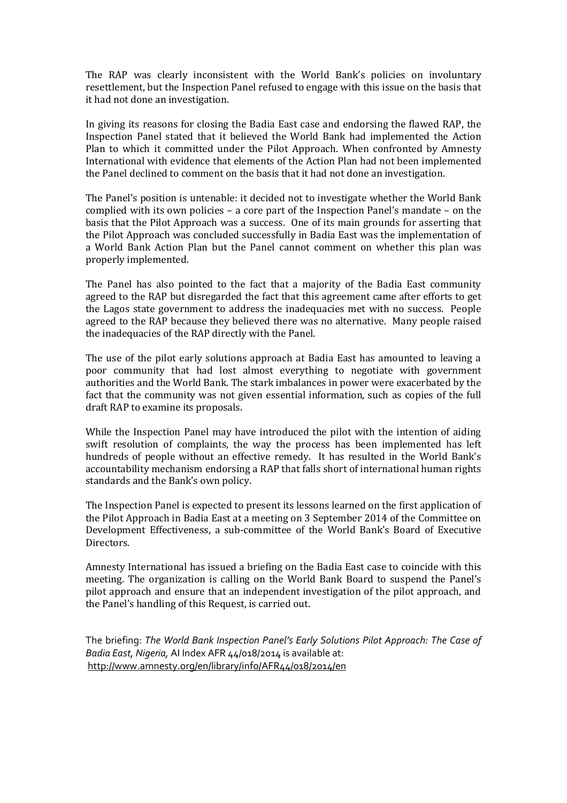The RAP was clearly inconsistent with the World Bank's policies on involuntary resettlement, but the Inspection Panel refused to engage with this issue on the basis that it had not done an investigation.

In giving its reasons for closing the Badia East case and endorsing the flawed RAP, the Inspection Panel stated that it believed the World Bank had implemented the Action Plan to which it committed under the Pilot Approach. When confronted by Amnesty International with evidence that elements of the Action Plan had not been implemented the Panel declined to comment on the basis that it had not done an investigation.

The Panel's position is untenable: it decided not to investigate whether the World Bank complied with its own policies – a core part of the Inspection Panel's mandate – on the basis that the Pilot Approach was a success. One of its main grounds for asserting that the Pilot Approach was concluded successfully in Badia East was the implementation of a World Bank Action Plan but the Panel cannot comment on whether this plan was properly implemented.

The Panel has also pointed to the fact that a majority of the Badia East community agreed to the RAP but disregarded the fact that this agreement came after efforts to get the Lagos state government to address the inadequacies met with no success. People agreed to the RAP because they believed there was no alternative. Many people raised the inadequacies of the RAP directly with the Panel.

The use of the pilot early solutions approach at Badia East has amounted to leaving a poor community that had lost almost everything to negotiate with government authorities and the World Bank. The stark imbalances in power were exacerbated by the fact that the community was not given essential information, such as copies of the full draft RAP to examine its proposals.

While the Inspection Panel may have introduced the pilot with the intention of aiding swift resolution of complaints, the way the process has been implemented has left hundreds of people without an effective remedy. It has resulted in the World Bank's accountability mechanism endorsing a RAP that falls short of international human rights standards and the Bank's own policy.

The Inspection Panel is expected to present its lessons learned on the first application of the Pilot Approach in Badia East at a meeting on 3 September 2014 of the Committee on Development Effectiveness, a sub-committee of the World Bank's Board of Executive Directors.

Amnesty International has issued a briefing on the Badia East case to coincide with this meeting. The organization is calling on the World Bank Board to suspend the Panel's pilot approach and ensure that an independent investigation of the pilot approach, and the Panel's handling of this Request, is carried out.

The briefing: *The World Bank Inspection Panel's Early Solutions Pilot Approach: The Case of Badia East, Nigeria,* AI Index AFR 44/018/2014 is available at: <http://www.amnesty.org/en/library/info/AFR44/018/2014/en>